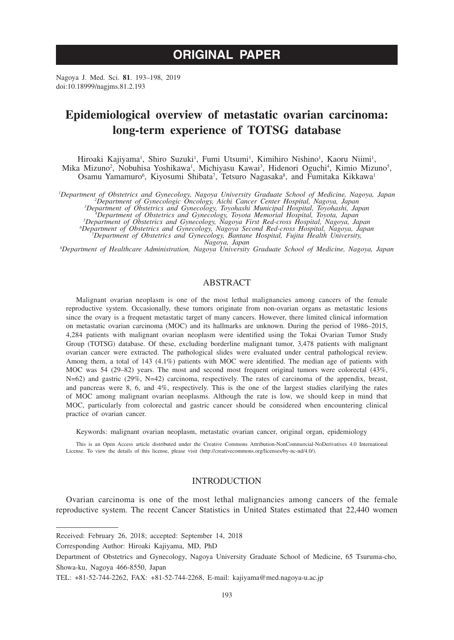# **ORIGINAL PAPER**

Nagoya J. Med. Sci. **81**. 193–198, 2019 doi:10.18999/nagjms.81.2.193

## **Epidemiological overview of metastatic ovarian carcinoma: long-term experience of TOTSG database**

Hiroaki Kajiyama<sup>1</sup>, Shiro Suzuki<sup>1</sup>, Fumi Utsumi<sup>1</sup>, Kimihiro Nishino<sup>1</sup>, Kaoru Niimi<sup>1</sup>, Mika Mizuno<sup>2</sup>, Nobuhisa Yoshikawa<sup>1</sup>, Michiyasu Kawai<sup>3</sup>, Hidenori Oguchi<sup>4</sup>, Kimio Mizuno<sup>5</sup>, Osamu Yamamuro<sup>6</sup>, Kiyosumi Shibata<sup>7</sup>, Tetsuro Nagasaka<sup>8</sup>, and Fumitaka Kikkawa<sup>1</sup>

Department of Obstetrics and Gynecology, Nagoya University Graduate School of Medicine, Nagoya, Japan<br>
<sup>2</sup>Department of Gynecologic Oncology, Aichi Cancer Center Hospital, Nagoya, Japan<br>
<sup>3</sup>Department of Obstetrics and Gyn

<sup>5</sup>Department of Obstetrics and Gynecology, Nagoya First Red-cross Hospital, Nagoya, Japan<br><sup>6</sup>Department of Obstetrics and Gynecology, Nagoya Second Red-cross Hospital, Nagoya, Japan<sup>or</sup><br><sup>7</sup>Department of Obstetrics and Gyn

*Nagoya, Japan <sup>8</sup> Department of Healthcare Administration, Nagoya University Graduate School of Medicine, Nagoya, Japan*

## ABSTRACT

Malignant ovarian neoplasm is one of the most lethal malignancies among cancers of the female reproductive system. Occasionally, these tumors originate from non-ovarian organs as metastatic lesions since the ovary is a frequent metastatic target of many cancers. However, there limited clinical information on metastatic ovarian carcinoma (MOC) and its hallmarks are unknown. During the period of 1986–2015, 4,284 patients with malignant ovarian neoplasm were identified using the Tokai Ovarian Tumor Study Group (TOTSG) database. Of these, excluding borderline malignant tumor, 3,478 patients with malignant ovarian cancer were extracted. The pathological slides were evaluated under central pathological review. Among them, a total of 143 (4.1%) patients with MOC were identified. The median age of patients with MOC was 54 (29–82) years. The most and second most frequent original tumors were colorectal (43%, N=62) and gastric (29%, N=42) carcinoma, respectively. The rates of carcinoma of the appendix, breast, and pancreas were 8, 6, and 4%, respectively. This is the one of the largest studies clarifying the rates of MOC among malignant ovarian neoplasms. Although the rate is low, we should keep in mind that MOC, particularly from colorectal and gastric cancer should be considered when encountering clinical practice of ovarian cancer.

Keywords: malignant ovarian neoplasm, metastatic ovarian cancer, original organ, epidemiology

This is an Open Access article distributed under the Creative Commons Attribution-NonCommercial-NoDerivatives 4.0 International License. To view the details of this license, please visit (http://creativecommons.org/licenses/by-nc-nd/4.0/).

## INTRODUCTION

Ovarian carcinoma is one of the most lethal malignancies among cancers of the female reproductive system. The recent Cancer Statistics in United States estimated that 22,440 women

Received: February 26, 2018; accepted: September 14, 2018

Corresponding Author: Hiroaki Kajiyama, MD, PhD

Department of Obstetrics and Gynecology, Nagoya University Graduate School of Medicine, 65 Tsuruma-cho, Showa-ku, Nagoya 466-8550, Japan

TEL: +81-52-744-2262, FAX: +81-52-744-2268, E-mail: kajiyama@med.nagoya-u.ac.jp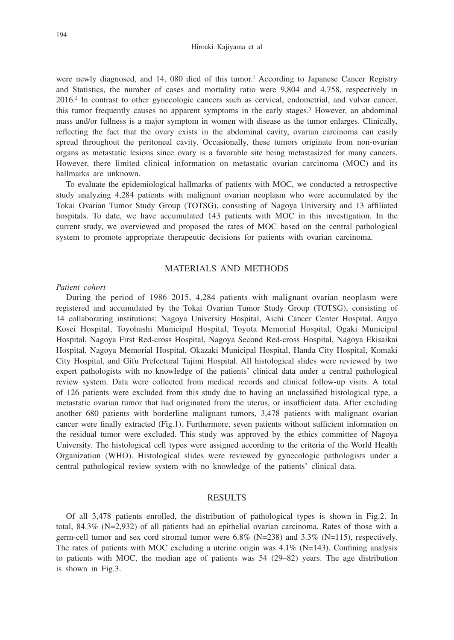Hiroaki Kajiyama et al

were newly diagnosed, and 14, 080 died of this tumor.<sup>1</sup> According to Japanese Cancer Registry and Statistics, the number of cases and mortality ratio were 9,804 and 4,758, respectively in 2016.2 In contrast to other gynecologic cancers such as cervical, endometrial, and vulvar cancer, this tumor frequently causes no apparent symptoms in the early stages.<sup>3</sup> However, an abdominal mass and/or fullness is a major symptom in women with disease as the tumor enlarges. Clinically, reflecting the fact that the ovary exists in the abdominal cavity, ovarian carcinoma can easily spread throughout the peritoneal cavity. Occasionally, these tumors originate from non-ovarian organs as metastatic lesions since ovary is a favorable site being metastasized for many cancers. However, there limited clinical information on metastatic ovarian carcinoma (MOC) and its hallmarks are unknown.

To evaluate the epidemiological hallmarks of patients with MOC, we conducted a retrospective study analyzing 4,284 patients with malignant ovarian neoplasm who were accumulated by the Tokai Ovarian Tumor Study Group (TOTSG), consisting of Nagoya University and 13 affiliated hospitals. To date, we have accumulated 143 patients with MOC in this investigation. In the current study, we overviewed and proposed the rates of MOC based on the central pathological system to promote appropriate therapeutic decisions for patients with ovarian carcinoma.

### MATERIALS AND METHODS

#### *Patient cohort*

During the period of 1986–2015, 4,284 patients with malignant ovarian neoplasm were registered and accumulated by the Tokai Ovarian Tumor Study Group (TOTSG), consisting of 14 collaborating institutions; Nagoya University Hospital, Aichi Cancer Center Hospital, Anjyo Kosei Hospital, Toyohashi Municipal Hospital, Toyota Memorial Hospital, Ogaki Municipal Hospital, Nagoya First Red-cross Hospital, Nagoya Second Red-cross Hospital, Nagoya Ekisaikai Hospital, Nagoya Memorial Hospital, Okazaki Municipal Hospital, Handa City Hospital, Komaki City Hospital, and Gifu Prefectural Tajimi Hospital. All histological slides were reviewed by two expert pathologists with no knowledge of the patients' clinical data under a central pathological review system. Data were collected from medical records and clinical follow-up visits. A total of 126 patients were excluded from this study due to having an unclassified histological type, a metastatic ovarian tumor that had originated from the uterus, or insufficient data. After excluding another 680 patients with borderline malignant tumors, 3,478 patients with malignant ovarian cancer were finally extracted (Fig.1). Furthermore, seven patients without sufficient information on the residual tumor were excluded. This study was approved by the ethics committee of Nagoya University. The histological cell types were assigned according to the criteria of the World Health Organization (WHO). Histological slides were reviewed by gynecologic pathologists under a central pathological review system with no knowledge of the patients' clinical data.

#### RESULTS

Of all 3,478 patients enrolled, the distribution of pathological types is shown in Fig.2. In total, 84.3% (N=2,932) of all patients had an epithelial ovarian carcinoma. Rates of those with a germ-cell tumor and sex cord stromal tumor were 6.8% (N=238) and 3.3% (N=115), respectively. The rates of patients with MOC excluding a uterine origin was  $4.1\%$  (N=143). Confining analysis to patients with MOC, the median age of patients was 54 (29–82) years. The age distribution is shown in Fig.3.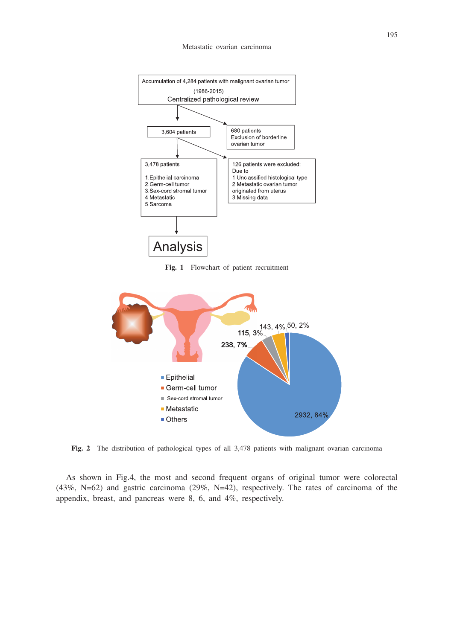

**Fig. 1** Flowchart of patient recruitment



**Fig. 2** The distribution of pathological types of all 3,478 patients with malignant ovarian carcinoma

As shown in Fig.4, the most and second frequent organs of original tumor were colorectal (43%, N=62) and gastric carcinoma (29%, N=42), respectively. The rates of carcinoma of the appendix, breast, and pancreas were 8, 6, and 4%, respectively.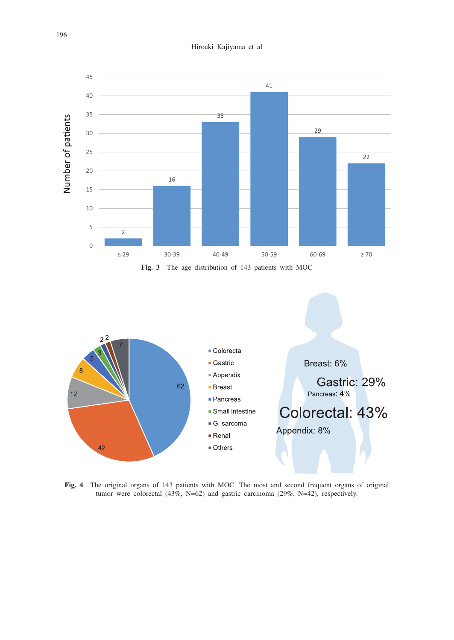Hiroaki Kajiyama et al



**Fig. 4** The original organs of 143 patients with MOC. The most and second frequent organs of original tumor were colorectal (43%, N=62) and gastric carcinoma (29%, N=42), respectively.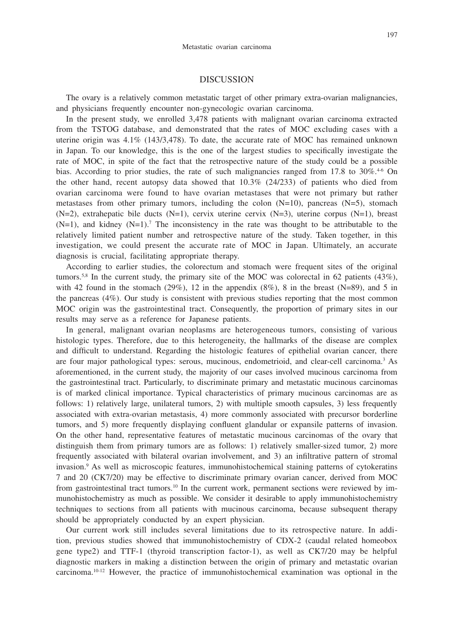#### DISCUSSION

The ovary is a relatively common metastatic target of other primary extra-ovarian malignancies, and physicians frequently encounter non-gynecologic ovarian carcinoma.

In the present study, we enrolled 3,478 patients with malignant ovarian carcinoma extracted from the TSTOG database, and demonstrated that the rates of MOC excluding cases with a uterine origin was 4.1% (143/3,478). To date, the accurate rate of MOC has remained unknown in Japan. To our knowledge, this is the one of the largest studies to specifically investigate the rate of MOC, in spite of the fact that the retrospective nature of the study could be a possible bias. According to prior studies, the rate of such malignancies ranged from  $17.8$  to  $30\%$ .<sup>46</sup> On the other hand, recent autopsy data showed that  $10.3\%$  (24/233) of patients who died from ovarian carcinoma were found to have ovarian metastases that were not primary but rather metastases from other primary tumors, including the colon  $(N=10)$ , pancreas  $(N=5)$ , stomach  $(N=2)$ , extrahepatic bile ducts  $(N=1)$ , cervix uterine cervix  $(N=3)$ , uterine corpus  $(N=1)$ , breast  $(N=1)$ , and kidney  $(N=1)$ .<sup>7</sup> The inconsistency in the rate was thought to be attributable to the relatively limited patient number and retrospective nature of the study. Taken together, in this investigation, we could present the accurate rate of MOC in Japan. Ultimately, an accurate diagnosis is crucial, facilitating appropriate therapy.

According to earlier studies, the colorectum and stomach were frequent sites of the original tumors.<sup>5,8</sup> In the current study, the primary site of the MOC was colorectal in 62 patients (43%), with 42 found in the stomach (29%), 12 in the appendix  $(8\%)$ , 8 in the breast (N=89), and 5 in the pancreas (4%). Our study is consistent with previous studies reporting that the most common MOC origin was the gastrointestinal tract. Consequently, the proportion of primary sites in our results may serve as a reference for Japanese patients.

In general, malignant ovarian neoplasms are heterogeneous tumors, consisting of various histologic types. Therefore, due to this heterogeneity, the hallmarks of the disease are complex and difficult to understand. Regarding the histologic features of epithelial ovarian cancer, there are four major pathological types: serous, mucinous, endometrioid, and clear-cell carcinoma.<sup>3</sup> As aforementioned, in the current study, the majority of our cases involved mucinous carcinoma from the gastrointestinal tract. Particularly, to discriminate primary and metastatic mucinous carcinomas is of marked clinical importance. Typical characteristics of primary mucinous carcinomas are as follows: 1) relatively large, unilateral tumors, 2) with multiple smooth capsules, 3) less frequently associated with extra-ovarian metastasis, 4) more commonly associated with precursor borderline tumors, and 5) more frequently displaying confluent glandular or expansile patterns of invasion. On the other hand, representative features of metastatic mucinous carcinomas of the ovary that distinguish them from primary tumors are as follows: 1) relatively smaller-sized tumor, 2) more frequently associated with bilateral ovarian involvement, and 3) an infiltrative pattern of stromal invasion.9 As well as microscopic features, immunohistochemical staining patterns of cytokeratins 7 and 20 (CK7/20) may be effective to discriminate primary ovarian cancer, derived from MOC from gastrointestinal tract tumors.<sup>10</sup> In the current work, permanent sections were reviewed by immunohistochemistry as much as possible. We consider it desirable to apply immunohistochemistry techniques to sections from all patients with mucinous carcinoma, because subsequent therapy should be appropriately conducted by an expert physician.

Our current work still includes several limitations due to its retrospective nature. In addition, previous studies showed that immunohistochemistry of CDX-2 (caudal related homeobox gene type2) and TTF-1 (thyroid transcription factor-1), as well as CK7/20 may be helpful diagnostic markers in making a distinction between the origin of primary and metastatic ovarian carcinoma.<sup>10-12</sup> However, the practice of immunohistochemical examination was optional in the